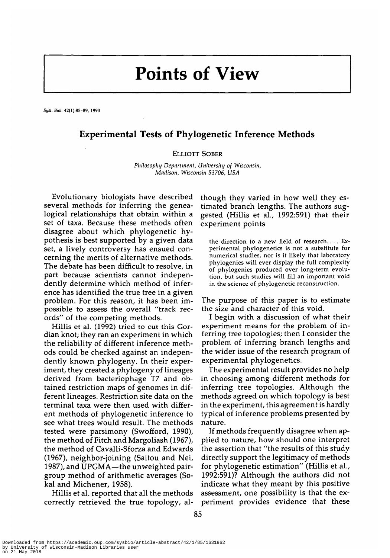# **Points of View**

*Syst.* **Bio/. 42(l):85-89, 1993**

## **Experimental Tests of Phylogenetic Inference Methods**

### ELLIOTT SOBER

*Philosophy Department, University of Wisconsin, Madison, Wisconsin 53706, USA*

Evolutionary biologists have described several methods for inferring the genealogical relationships that obtain within a set of taxa. Because these methods often disagree about which phylogenetic hypothesis is best supported by a given data set, a lively controversy has ensued concerning the merits of alternative methods. The debate has been difficult to resolve, in part because scientists cannot independently determine which method of inference has identified the true tree in a given problem. For this reason, it has been impossible to assess the overall "track records" of the competing methods.

Hillis et al. (1992) tried to cut this Gordian knot; they ran an experiment in which the reliability of different inference methods could be checked against an independently known phylogeny. In their experiment, they created a phylogeny of lineages derived from bacteriophage T7 and obtained restriction maps of genomes in different lineages. Restriction site data on the terminal taxa were then used with different methods of phylogenetic inference to see what trees would result. The methods tested were parsimony (Swofford, 1990), the method of Fitch and Margoliash (1967), the method of Cavalli-Sforza and Edwards (1967), neighbor-joining (Saitou and Nei, 1987), and UPGMA—the unweighted pairgroup method of arithmetic averages (Sokal and Michener, 1958).

Hillis et al. reported that all the methods correctly retrieved the true topology, although they varied in how well they estimated branch lengths. The authors suggested (Hillis et al., 1992:591) that their experiment points

the direction to a new field of research. . . . Experimental phylogenetics is not a substitute for numerical studies, nor is it likely that laboratory phylogenies will ever display the full complexity of phylogenies produced over long-term evolution, but such studies will fill an important void in the science of phylogenetic reconstruction.

The purpose of this paper is to estimate the size and character of this void.

I begin with a discussion of what their experiment means for the problem of in ferring tree topologies; then I consider the problem of inferring branch lengths and the wider issue of the research program of experimental phylogenetics.

The experimental result provides no help in choosing among different methods for inferring tree topologies. Although the methods agreed on which topology is best in the experiment, this agreement is hardly typical of inference problems presented by nature.

If methods frequently disagree when applied to nature, how should one interpret the assertion that "the results of this study directly support the legitimacy of methods for phylogenetic estimation" (Hillis et al., 1992:591)? Although the authors did not indicate what they meant by this positive assessment, one possibility is that the experiment provides evidence that these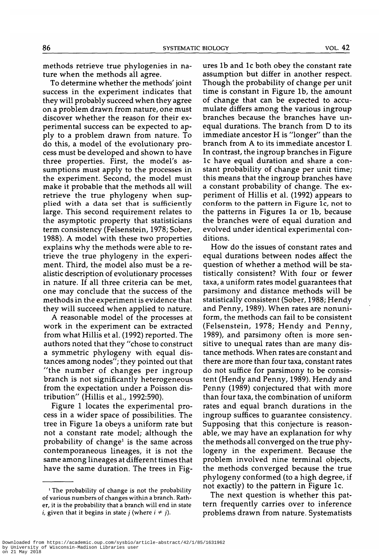methods retrieve true phylogenies in nature when the methods all agree.

To determine whether the methods' joint success in the experiment indicates that they will probably succeed when they agree on a problem drawn from nature, one must discover whether the reason for their experimental success can be expected to apply to a problem drawn from nature. To do this, a model of the evolutionary process must be developed and shown to have three properties. First, the model's assumptions must apply to the processes in the experiment. Second, the model must make it probable that the methods all will retrieve the true phylogeny when supplied with a data set that is sufficiently large. This second requirement relates to the asymptotic property that statisticians term consistency (Felsenstein, 1978; Sober, 1988). A model with these two properties explains why the methods were able to retrieve the true phylogeny in the experiment. Third, the model also must be a realistic description of evolutionary processes in nature. If all three criteria can be met, one may conclude that the success of the methods in the experiment is evidence that they will succeed when applied to nature.

A reasonable model of the processes at work in the experiment can be extracted from what Hillis et al. (1992) reported. The authors noted that they "chose to construct a symmetric phylogeny with equal distances among nodes"; they pointed out that "the number of changes per ingroup branch is not significantly heterogeneous from the expectation under a Poisson distribution" (Hillis et al., 1992:590).

Figure 1 locates the experimental process in a wider space of possibilities. The tree in Figure la obeys a uniform rate but not a constant rate model; although the probability of change<sup>1</sup> is the same across contemporaneous lineages, it is not the same among lineages at different times that have the same duration. The trees in Figures lb and lc both obey the constant rate assumption but differ in another respect. Though the probability of change per unit time is constant in Figure lb, the amount of change that can be expected to accumulate differs among the various ingroup branches because the branches have unequal durations. The branch from D to its immediate ancestor H is "longer" than the branch from A to its immediate ancestor I. In contrast, the ingroup branches in Figure lc have equal duration and share a constant probability of change per unit time; this means that the ingroup branches have a constant probability of change. The experiment of Hillis et al. (1992) appears to conform to the pattern in Figure lc, not to the patterns in Figures la or lb, because the branches were of equal duration and evolved under identical experimental conditions.

How do the issues of constant rates and equal durations between nodes affect the question of whether a method will be statistically consistent? With four or fewer taxa, a uniform rates model guarantees that parsimony and distance methods will be statistically consistent (Sober, 1988; Hendy and Penny, 1989). When rates are nonuniform, the methods can fail to be consistent (Felsenstein, 1978; Hendy and Penny, 1989), and parsimony often is more sensitive to unequal rates than are many distance methods. When rates are constant and there are more than four taxa, constant rates do not suffice for parsimony to be consistent (Hendy and Penny, 1989). Hendy and Penny (1989) conjectured that with more than four taxa, the combination of uniform rates and equal branch durations in the ingroup suffices to guarantee consistency. Supposing that this conjecture is reasonable, we may have an explanation for why abie, we may have an explanation for whylogeny in the experiment. Because the logeny in the experiment. Because the problem involved nine terminal objects, the methods converged because the true phylogeny conformed (to a high degree, if<br>not exactly) to the pattern in Figure 1c.

The next question is whether this pattern frequently carries over to inference problems drawn from nature. Systematists

<sup>1</sup> The probability of change is not the probability of various numbers of changes within a branch. Rather, it is the probability that a branch will end in state *i*, given that it begins in state *j* (where  $i \neq j$ ).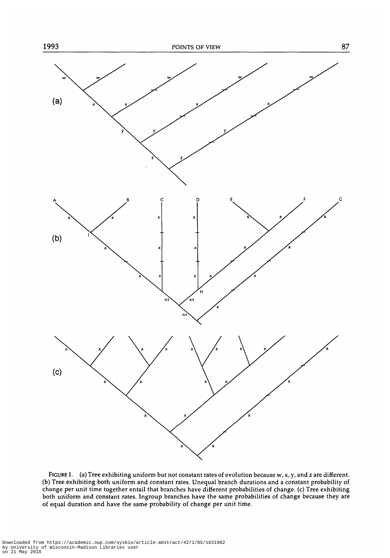

FIGURE 1. (a) Tree exhibiting uniform but not constant rates of evolution because w, x, y, and z are different. (b) Tree exhibiting both uniform and constant rates. Unequal branch durations and a constant probability of change per unit time together entail that branches have different probabilities of change, (c) Tree exhibiting both uniform and constant rates. Ingroup branches have the same probabilities of change because they are of equal duration and have the same probability of change per unit time.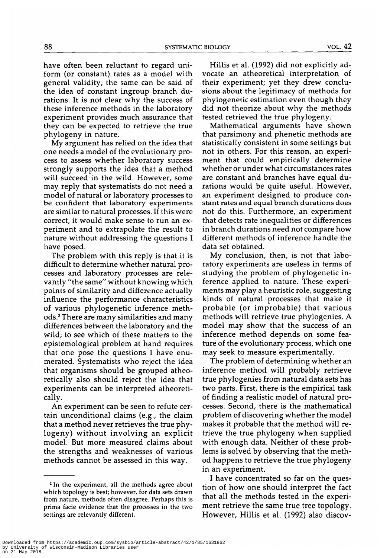have often been reluctant to regard uniform (or constant) rates as a model with general validity; the same can be said of the idea of constant ingroup branch durations. It is not clear why the success of these inference methods in the laboratory experiment provides much assurance that they can be expected to retrieve the true phylogeny in nature.

My argument has relied on the idea that one needs a model of the evolutionary process to assess whether laboratory success strongly supports the idea that a method will succeed in the wild. However, some may reply that systematists do not need a model of natural or laboratory processes to be confident that laboratory experiments are similar to natural processes. If this were correct, it would make sense to run an experiment and to extrapolate the result to nature without addressing the questions I have posed.

The problem with this reply is that it is difficult to determine whether natural processes and laboratory processes are relevantly "the same" without knowing which points of similarity and difference actually influence the performance characteristics of various phylogenetic inference methods.2 There are many similarities and many differences between the laboratory and the wild; to see which of these matters to the epistemological problem at hand requires that one pose the questions I have enumerated. Systematists who reject the idea that organisms should be grouped atheoretically also should reject the idea that experiments can be interpreted atheoretically.

An experiment can be seen to refute certain unconditional claims (e.g., the claim that a method never retrieves the true phylogeny) without involving an explicit model. But more measured claims about the strengths and weaknesses of various methods cannot be assessed in this way.

Hillis et al. (1992) did not explicitly advocate an atheoretical interpretation of their experiment; yet they drew conclusions about the legitimacy of methods for phylogenetic estimation even though they did not theorize about why the methods tested retrieved the true phylogeny.

Mathematical arguments have shown that parsimony and phenetic methods are statistically consistent in some settings but not in others. For this reason, an experiment that could empirically determine whether or under what circumstances rates are constant and branches have equal durations would be quite useful. However, an experiment designed to produce constant rates and equal branch durations does not do this. Furthermore, an experiment that detects rate inequalities or differences in branch durations need not compare how different methods of inference handle the data set obtained.

My conclusion, then, is not that laboratory experiments are useless in terms of studying the problem of phylogenetic inference applied to nature. These experiments may play a heuristic role, suggesting kinds of natural processes that make it probable (or improbable) that various methods will retrieve true phylogenies. A model may show that the success of an inference method depends on some feature of the evolutionary process, which one may seek to measure experimentally.

The problem of determining whether an inference method will probably retrieve true phylogenies from natural data sets has two parts. First, there is the empirical task of finding a realistic model of natural processes. Second, there is the mathematical problem of discovering whether the model makes it probable that the method will retrieve the true phylogeny when supplied with enough data. Neither of these problems is solved by observing that the method happens to retrieve the true phylogeny in an experiment.

I have concentrated so far on the question of how one should interpret the fact that all the methods tested in the experiment retrieve the same true tree topology. However, Hillis et al. (1992) also discov-

<sup>&</sup>lt;sup>2</sup> In the experiment, all the methods agree about which topology is best; however, for data sets drawn from nature, methods often disagree. Perhaps this is prima facie evidence that the processes in the two settings are relevantly different.